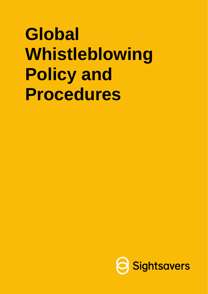# **Global Whistleblowing Policy and Procedures**

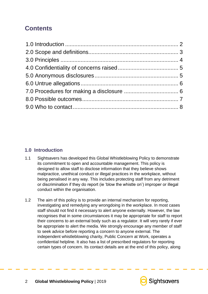# **Contents**

# <span id="page-1-0"></span>**1.0 Introduction**

- 1.1 Sightsavers has developed this Global Whistleblowing Policy to demonstrate its commitment to open and accountable management. This policy is designed to allow staff to disclose information that they believe shows malpractice, unethical conduct or illegal practices in the workplace, without being penalised in any way. This includes protecting staff from any detriment or discrimination if they do report (ie 'blow the whistle on') improper or illegal conduct within the organisation.
- 1.2 The aim of this policy is to provide an internal mechanism for reporting, investigating and remedying any wrongdoing in the workplace. In most cases staff should not find it necessary to alert anyone externally. However, the law recognises that in some circumstances it may be appropriate for staff to report their concerns to an external body such as a regulator. It will very rarely if ever be appropriate to alert the media. We strongly encourage any member of staff to seek advice before reporting a concern to anyone external. The independent whistleblowing charity, Public Concern at Work, operates a confidential helpline. It also has a list of prescribed regulators for reporting certain types of concern. Its contact details are at the end of this policy, along

**Sightsavers** 

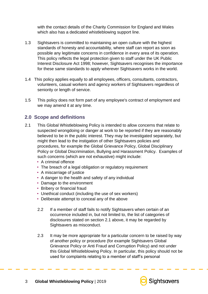with the contact details of the Charity Commission for England and Wales which also has a dedicated whistleblowing support line.

- 1.3 Sightsavers is committed to maintaining an open culture with the highest standards of honesty and accountability, where staff can report as soon as possible any legitimate concerns in confidence in every area of its operation. This policy reflects the legal protection given to staff under the UK Public Interest Disclosure Act 1998; however, Sightsavers recognises the importance for these same standards to apply wherever Sightsavers works in the world.
- 1.4 This policy applies equally to all employees, officers, consultants, contractors, volunteers, casual workers and agency workers of Sightsavers regardless of seniority or length of service.
- 1.5 This policy does not form part of any employee's contract of employment and we may amend it at any time.

# <span id="page-2-0"></span>**2.0 Scope and definitions**

- 2.1 This Global Whistleblowing Policy is intended to allow concerns that relate to suspected wrongdoing or danger at work to be reported if they are reasonably believed to be in the public interest. They may be investigated separately, but might then lead to the instigation of other Sightsavers policies and procedures, for example the Global Grievance Policy, Global Disciplinary Policy or Global Discrimination, Bullying and Harassment Policy. Examples of such concerns (which are not exhaustive) might include:
	- A criminal offence
	- The breach of a legal obligation or regulatory requirement
	- A miscarriage of justice
	- A danger to the health and safety of any individual
	- Damage to the environment
	- Bribery or financial fraud
	- Unethical conduct (including the use of sex workers)
	- Deliberate attempt to conceal any of the above
	- 2.2 If a member of staff fails to notify Sightsavers when certain of an occurrence included in, but not limited to, the list of categories of disclosures stated on section 2.1 above, it may be regarded by Sightsavers as misconduct.
	- 2.3 It may be more appropriate for a particular concern to be raised by way of another policy or procedure (for example Sightsavers Global Grievance Policy or Anti Fraud and Corruption Policy) and not under this Global Whistleblowing Policy. In particular, this policy should not be used for complaints relating to a member of staff's personal

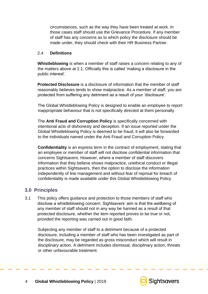circumstances, such as the way they have been treated at work. In those cases staff should use the Grievance Procedure. If any member of staff has any concerns as to which policy the disclosure should be made under, they should check with their HR Business Partner.

#### 2.4 **Definitions**

**Whistleblowing** is when a member of staff raises a concern relating to any of the matters above at 2.1. Officially this is called 'making a disclosure in the public interest'.

**Protected Disclosure** is a disclosure of information that the member of staff reasonably believes tends to show malpractice. As a member of staff, you are protected from suffering any detriment as a result of your 'disclosure'.

The Global Whistleblowing Policy is designed to enable an employee to report inappropriate behaviour that is not specifically directed at them personally.

The **Anti Fraud and Corruption Policy** is specifically concerned with intentional acts of dishonesty and deception. If an issue reported under the Global Whistleblowing Policy is deemed to be fraud, it will also be forwarded to the individuals named under the Anti Fraud and Corruption Policy.

**Confidentiality** is an express term in the contract of employment, stating that an employee or member of staff will not disclose confidential information that concerns Sightsavers. However, where a member of staff discovers information that they believe shows malpractice, unethical conduct or illegal practices within Sightsavers, then the option to disclose the information independently of line management and without fear of reprisal for breach of confidentiality is made available under this Global Whistleblowing Policy.

# <span id="page-3-0"></span>**3.0 Principles**

3.1 This policy offers guidance and protection to those members of staff who disclose a whistleblowing concern. Sightsavers' aim is that the wellbeing of any member of staff should not in any way be harmed as a result of that protected disclosure, whether the item reported proves to be true or not, provided the reporting was carried out in good faith.

Subjecting any member of staff to a detriment because of a protected disclosure, including a member of staff who has been investigated as part of the disclosure, may be regarded as gross misconduct which will result in disciplinary action. A detriment includes dismissal, disciplinary action, threats or other unfavourable treatment.

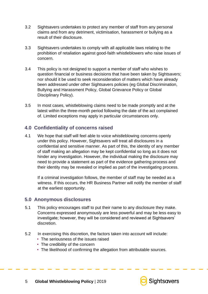- 3.2 Sightsavers undertakes to protect any member of staff from any personal claims and from any detriment, victimisation, harassment or bullying as a result of their disclosure.
- 3.3 Sightsavers undertakes to comply with all applicable laws relating to the prohibition of retaliation against good-faith whistleblowers who raise issues of concern.
- 3.4 This policy is not designed to support a member of staff who wishes to question financial or business decisions that have been taken by Sightsavers; nor should it be used to seek reconsideration of matters which have already been addressed under other Sightsavers policies (eg Global Discrimination, Bullying and Harassment Policy, Global Grievance Policy or Global Disciplinary Policy).
- 3.5 In most cases, whistleblowing claims need to be made promptly and at the latest within the three-month period following the date of the act complained of. Limited exceptions may apply in particular circumstances only.

# <span id="page-4-0"></span>**4.0 Confidentiality of concerns raised**

4.1 We hope that staff will feel able to voice whistleblowing concerns openly under this policy. However, Sightsavers will treat all disclosures in a confidential and sensitive manner. As part of this, the identity of any member of staff making an allegation may be kept confidential so long as it does not hinder any investigation. However, the individual making the disclosure may need to provide a statement as part of the evidence gathering process and their identity may be revealed or implied as part of the investigating process.

If a criminal investigation follows, the member of staff may be needed as a witness. If this occurs, the HR Business Partner will notify the member of staff at the earliest opportunity.

#### <span id="page-4-1"></span>**5.0 Anonymous disclosures**

- 5.1 This policy encourages staff to put their name to any disclosure they make. Concerns expressed anonymously are less powerful and may be less easy to investigate; however, they will be considered and reviewed at Sightsavers' discretion.
- 5.2 In exercising this discretion, the factors taken into account will include:
	- The seriousness of the issues raised
	- The credibility of the concern
	- The likelihood of confirming the allegation from attributable sources.

5 **Global Whistleblowing Policy** | 2019

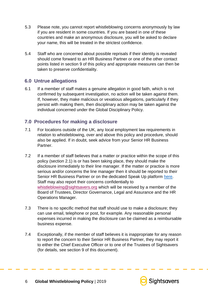- 5.3 Please note, you cannot report whistleblowing concerns anonymously by law if you are resident in some countries. If you are based in one of these countries and make an anonymous disclosure, you will be asked to declare your name, this will be treated in the strictest confidence.
- 5.4 Staff who are concerned about possible reprisals if their identity is revealed should come forward to an HR Business Partner or one of the other contact points listed in section 9 of this policy and appropriate measures can then be taken to preserve confidentiality.

## <span id="page-5-0"></span>**6.0 Untrue allegations**

6.1 If a member of staff makes a genuine allegation in good faith, which is not confirmed by subsequent investigation, no action will be taken against them. If, however, they make malicious or vexatious allegations, particularly if they persist with making them, then disciplinary action may be taken against the individual concerned under the Global Disciplinary Policy.

## <span id="page-5-1"></span>**7.0 Procedures for making a disclosure**

- 7.1 For locations outside of the UK, any local employment law requirements in relation to whistleblowing, over and above this policy and procedure, should also be applied. If in doubt, seek advice from your Senior HR Business Partner.
- 7.2 If a member of staff believes that a matter or practice within the scope of this policy (section 2.1) is or has been taking place, they should make the disclosure immediately to their line manager. If the matter or practice is more serious and/or concerns the line manager then it should be reported to their Senior HR Business Partner or on the dedicated Speak Up platform [here.](http://www.sightsavers.org/speakup) Staff may also report their concerns confidentially to whistleblowing@sightsavers.org which will be received by a member of the Board of Trustees, Director Governance, Legal and Assurance and the HR Operations Manager.
- 7.3 There is no specific method that staff should use to make a disclosure; they can use email, telephone or post, for example. Any reasonable personal expenses incurred in making the disclosure can be claimed as a reimbursable business expense.
- 7.4 Exceptionally, if the member of staff believes it is inappropriate for any reason to report the concern to their Senior HR Business Partner, they may report it to either the Chief Executive Officer or to one of the Trustees of Sightsavers (for details, see section 9 of this document).

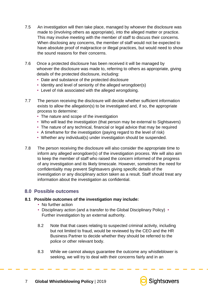- 7.5 An investigation will then take place, managed by whoever the disclosure was made to (involving others as appropriate), into the alleged matter or practice. This may involve meeting with the member of staff to discuss their concerns. When disclosing any concerns, the member of staff would not be expected to have absolute proof of malpractice or illegal practices, but would need to show the sound reasons for their concerns.
- 7.6 Once a protected disclosure has been received it will be managed by whoever the disclosure was made to, referring to others as appropriate, giving details of the protected disclosure, including:
	- Date and substance of the protected disclosure
	- Identity and level of seniority of the alleged wrongdoer(s)
	- Level of risk associated with the alleged wrongdoing.
- 7.7 The person receiving the disclosure will decide whether sufficient information exists to allow the allegation(s) to be investigated and, if so, the appropriate process to determine:
	- The nature and scope of the investigation
	- Who will lead the investigation (that person may be external to Sightsavers)
	- The nature of any technical, financial or legal advice that may be required
	- A timeframe for the investigation (paving regard to the level of risk)
	- Whether any individual(s) under investigation should be suspended.
- 7.8 The person receiving the disclosure will also consider the appropriate time to inform any alleged wrongdoer(s) of the investigation process. We will also aim to keep the member of staff who raised the concern informed of the progress of any investigation and its likely timescale. However, sometimes the need for confidentiality may prevent Sightsavers giving specific details of the investigation or any disciplinary action taken as a result. Staff should treat any information about the investigation as confidential.

#### <span id="page-6-0"></span>**8.0 Possible outcomes**

#### **8.1 Possible outcomes of the investigation may include:**

- No further action
- Disciplinary action (and a transfer to the Global Disciplinary Policy) Further investigation by an external authority.
- 8.2 Note that that cases relating to suspected criminal activity, including but not limited to fraud, would be reviewed by the CEO and the HR Business Partner to decide whether they should be referred to the police or other relevant body.
- 8.3 While we cannot always guarantee the outcome any whistleblower is seeking, we will try to deal with their concerns fairly and in an

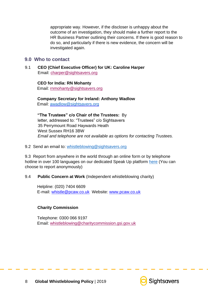appropriate way. However, if the discloser is unhappy about the outcome of an investigation, they should make a further report to the HR Business Partner outlining their concerns. If there is good reason to do so, and particularly if there is new evidence, the concern will be investigated again.

#### <span id="page-7-0"></span>**9.0 Who to contact**

9.1 **CEO (Chief Executive Officer) for UK: Caroline Harper**  Email: charper@sightsavers.org

#### **CEO for India: RN Mohanty**

Email: rnmohanty@sightsavers.org

**Company Secretary for Ireland: Anthony Wadlow**  Email: [awadlow@sightsavers.org](mailto:awadlow@sightsavers.org)

**"The Trustees" c/o Chair of the Trustees:** By letter, addressed to: "Trustees" c/o Sightsavers 35 Perrymount Road Haywards Heath West Sussex RH16 3BW *Email and telephone are not available as options for contacting Trustees.* 

#### 9.2 Send an email to: whistleblowing@sightsavers.org

9.3 Report from anywhere in the world through an online form or by telephone hotline in over 100 languages on our dedicated Speak Up platform [here](http://www.sightsavers.org/speakup) (You can choose to report anonymously)

#### 9.4 **Public Concern at Work** (Independent whistleblowing charity)

Helpline: (020) 7404 6609 E-mail: whistle@pcaw.co.uk Website: [www.pcaw.co.uk](http://www.pcaw.co.uk/)

#### **Charity Commission**

Telephone: 0300 066 9197 Email: whistleblowing@charitycommission.gsi.gov.uk